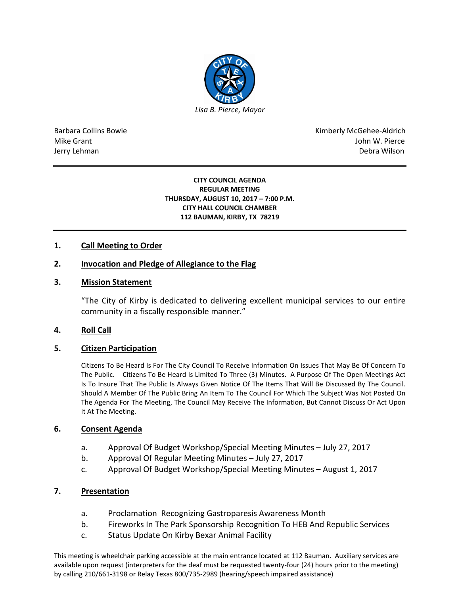

Barbara Collins Bowie **Kimberly McGehee-Aldrich** Mike Grant John W. Pierce Jerry Lehman Debra Wilson (2008) and the state of the state of the state of the state of the state of the state of the state of the state of the state of the state of the state of the state of the state of the state of the

#### **CITY COUNCIL AGENDA REGULAR MEETING THURSDAY, AUGUST 10, 2017 – 7:00 P.M. CITY HALL COUNCIL CHAMBER 112 BAUMAN, KIRBY, TX 78219**

# **1. Call Meeting to Order**

# **2. Invocation and Pledge of Allegiance to the Flag**

### **3. Mission Statement**

"The City of Kirby is dedicated to delivering excellent municipal services to our entire community in a fiscally responsible manner."

### **4. Roll Call**

### **5. Citizen Participation**

Citizens To Be Heard Is For The City Council To Receive Information On Issues That May Be Of Concern To The Public. Citizens To Be Heard Is Limited To Three (3) Minutes. A Purpose Of The Open Meetings Act Is To Insure That The Public Is Always Given Notice Of The Items That Will Be Discussed By The Council. Should A Member Of The Public Bring An Item To The Council For Which The Subject Was Not Posted On The Agenda For The Meeting, The Council May Receive The Information, But Cannot Discuss Or Act Upon It At The Meeting.

### **6. Consent Agenda**

- a. Approval Of Budget Workshop/Special Meeting Minutes July 27, 2017
- b. Approval Of Regular Meeting Minutes July 27, 2017
- c. Approval Of Budget Workshop/Special Meeting Minutes August 1, 2017

### **7. Presentation**

- a. Proclamation Recognizing Gastroparesis Awareness Month
- b. Fireworks In The Park Sponsorship Recognition To HEB And Republic Services
- c. Status Update On Kirby Bexar Animal Facility

This meeting is wheelchair parking accessible at the main entrance located at 112 Bauman. Auxiliary services are available upon request (interpreters for the deaf must be requested twenty-four (24) hours prior to the meeting) by calling 210/661-3198 or Relay Texas 800/735-2989 (hearing/speech impaired assistance)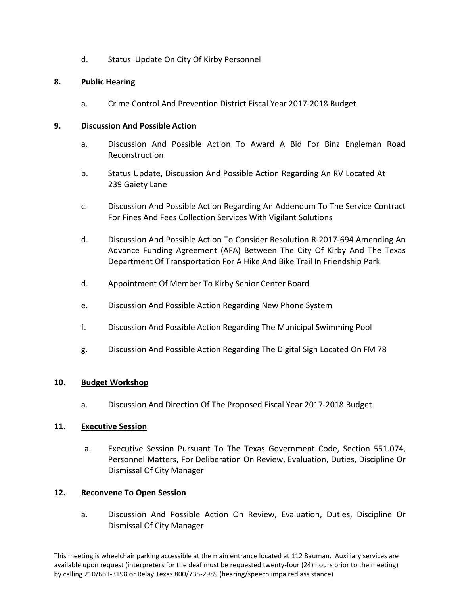d. Status Update On City Of Kirby Personnel

# **8. Public Hearing**

a. Crime Control And Prevention District Fiscal Year 2017-2018 Budget

### **9. Discussion And Possible Action**

- a. Discussion And Possible Action To Award A Bid For Binz Engleman Road Reconstruction
- b. Status Update, Discussion And Possible Action Regarding An RV Located At 239 Gaiety Lane
- c. Discussion And Possible Action Regarding An Addendum To The Service Contract For Fines And Fees Collection Services With Vigilant Solutions
- d. Discussion And Possible Action To Consider Resolution R-2017-694 Amending An Advance Funding Agreement (AFA) Between The City Of Kirby And The Texas Department Of Transportation For A Hike And Bike Trail In Friendship Park
- d. Appointment Of Member To Kirby Senior Center Board
- e. Discussion And Possible Action Regarding New Phone System
- f. Discussion And Possible Action Regarding The Municipal Swimming Pool
- g. Discussion And Possible Action Regarding The Digital Sign Located On FM 78

# **10. Budget Workshop**

a. Discussion And Direction Of The Proposed Fiscal Year 2017-2018 Budget

# **11. Executive Session**

a. Executive Session Pursuant To The Texas Government Code, Section 551.074, Personnel Matters, For Deliberation On Review, Evaluation, Duties, Discipline Or Dismissal Of City Manager

# **12. Reconvene To Open Session**

a. Discussion And Possible Action On Review, Evaluation, Duties, Discipline Or Dismissal Of City Manager

This meeting is wheelchair parking accessible at the main entrance located at 112 Bauman. Auxiliary services are available upon request (interpreters for the deaf must be requested twenty-four (24) hours prior to the meeting) by calling 210/661-3198 or Relay Texas 800/735-2989 (hearing/speech impaired assistance)